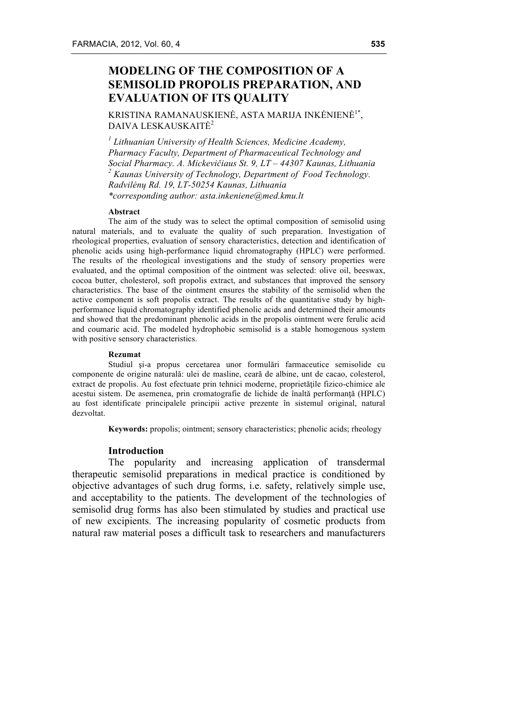# **MODELING OF THE COMPOSITION OF A SEMISOLID PROPOLIS PREPARATION, AND EVALUATION OF ITS QUALITY**

KRISTINA RAMANAUSKIENĖ, ASTA MARIJA INKĖNIENĖ<sup>1\*</sup>, DAIVA LESKAUSKAITĖ<sup>2</sup>

*<sup>1</sup> Lithuanian University of Health Sciences, Medicine Academy, Pharmacy Faculty, Department of Pharmaceutical Technology and Social Pharmacy. A. Mickevičiaus St. 9, LT – 44307 Kaunas, Lithuania <sup>2</sup> Kaunas University of Technology, Department of Food Technology. Radvilėnų Rd. 19, LT-50254 Kaunas, Lithuania \*corresponding author: asta.inkeniene@med.kmu.lt*

#### **Abstract**

The aim of the study was to select the optimal composition of semisolid using natural materials, and to evaluate the quality of such preparation. Investigation of rheological properties, evaluation of sensory characteristics, detection and identification of phenolic acids using high-performance liquid chromatography (HPLC) were performed. The results of the rheological investigations and the study of sensory properties were evaluated, and the optimal composition of the ointment was selected: olive oil, beeswax, cocoa butter, cholesterol, soft propolis extract, and substances that improved the sensory characteristics. The base of the ointment ensures the stability of the semisolid when the active component is soft propolis extract. The results of the quantitative study by highperformance liquid chromatography identified phenolic acids and determined their amounts and showed that the predominant phenolic acids in the propolis ointment were ferulic acid and coumaric acid. The modeled hydrophobic semisolid is a stable homogenous system with positive sensory characteristics.

#### **Rezumat**

Studiul şi-a propus cercetarea unor formulări farmaceutice semisolide cu componente de origine naturală: ulei de masline, ceară de albine, unt de cacao, colesterol, extract de propolis. Au fost efectuate prin tehnici moderne, proprietăţile fizico-chimice ale acestui sistem. De asemenea, prin cromatografie de lichide de înaltă performanţă (HPLC) au fost identificate principalele principii active prezente în sistemul original, natural dezvoltat.

**Keywords:** propolis; ointment; sensory characteristics; phenolic acids; rheology

# **Introduction**

The popularity and increasing application of transdermal therapeutic semisolid preparations in medical practice is conditioned by objective advantages of such drug forms, i.e. safety, relatively simple use, and acceptability to the patients. The development of the technologies of semisolid drug forms has also been stimulated by studies and practical use of new excipients. The increasing popularity of cosmetic products from natural raw material poses a difficult task to researchers and manufacturers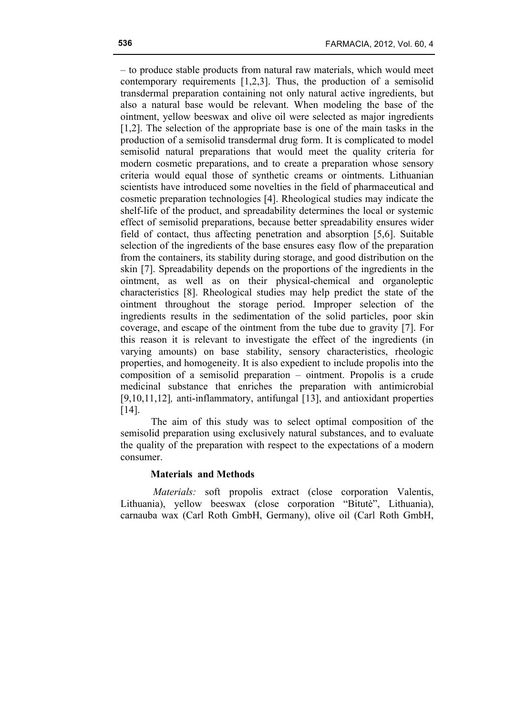– to produce stable products from natural raw materials, which would meet contemporary requirements [1,2,3]. Thus, the production of a semisolid transdermal preparation containing not only natural active ingredients, but also a natural base would be relevant. When modeling the base of the ointment, yellow beeswax and olive oil were selected as major ingredients [1,2]. The selection of the appropriate base is one of the main tasks in the production of a semisolid transdermal drug form. It is complicated to model semisolid natural preparations that would meet the quality criteria for modern cosmetic preparations, and to create a preparation whose sensory criteria would equal those of synthetic creams or ointments. Lithuanian scientists have introduced some novelties in the field of pharmaceutical and cosmetic preparation technologies [4]. Rheological studies may indicate the shelf-life of the product, and spreadability determines the local or systemic effect of semisolid preparations, because better spreadability ensures wider field of contact, thus affecting penetration and absorption [5,6]. Suitable selection of the ingredients of the base ensures easy flow of the preparation from the containers, its stability during storage, and good distribution on the skin [7]. Spreadability depends on the proportions of the ingredients in the ointment, as well as on their physical-chemical and organoleptic characteristics [8]. Rheological studies may help predict the state of the ointment throughout the storage period. Improper selection of the ingredients results in the sedimentation of the solid particles, poor skin coverage, and escape of the ointment from the tube due to gravity [7]. For this reason it is relevant to investigate the effect of the ingredients (in varying amounts) on base stability, sensory characteristics, rheologic properties, and homogeneity. It is also expedient to include propolis into the composition of a semisolid preparation – ointment. Propolis is a crude medicinal substance that enriches the preparation with antimicrobial [9,10,11,12]*,* anti-inflammatory, antifungal [13], and antioxidant properties [14].

The aim of this study was to select optimal composition of the semisolid preparation using exclusively natural substances, and to evaluate the quality of the preparation with respect to the expectations of a modern consumer.

## **Materials and Methods**

*Materials:* soft propolis extract (close corporation Valentis, Lithuania), yellow beeswax (close corporation "Bitutė", Lithuania), carnauba wax (Carl Roth GmbH, Germany), olive oil (Carl Roth GmbH,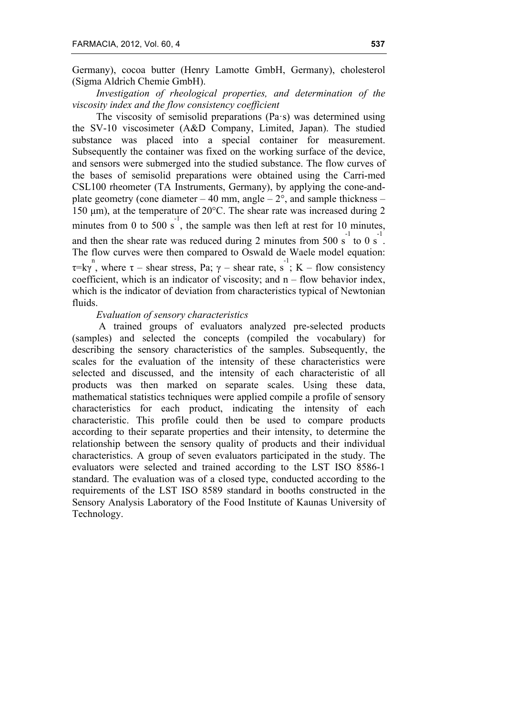Germany), cocoa butter (Henry Lamotte GmbH, Germany), cholesterol (Sigma Aldrich Chemie GmbH).

*Investigation of rheological properties, and determination of the viscosity index and the flow consistency coefficient*

The viscosity of semisolid preparations (Pa·s) was determined using the SV-10 viscosimeter (A&D Company, Limited, Japan). The studied substance was placed into a special container for measurement. Subsequently the container was fixed on the working surface of the device, and sensors were submerged into the studied substance. The flow curves of the bases of semisolid preparations were obtained using the Carri-med CSL100 rheometer (TA Instruments, Germany), by applying the cone-andplate geometry (cone diameter  $-40$  mm, angle  $-2^{\circ}$ , and sample thickness  $-$ 150 µm), at the temperature of 20°C. The shear rate was increased during 2 minutes from 0 to 500 s<sup>-1</sup>, the sample was then left at rest for 10 minutes, and then the shear rate was reduced during 2 minutes from 500 s<sup>-1</sup> to 0 s<sup>-1</sup>. The flow curves were then compared to Oswald de Waele model equation:  $\tau = k\gamma$ , where  $\tau$  – shear stress, Pa;  $\gamma$  – shear rate, s<sup>-1</sup>; K – flow consistency coefficient, which is an indicator of viscosity; and  $n - flow$  behavior index, which is the indicator of deviation from characteristics typical of Newtonian fluids.

# *Evaluation of sensory characteristics*

A trained groups of evaluators analyzed pre-selected products (samples) and selected the concepts (compiled the vocabulary) for describing the sensory characteristics of the samples. Subsequently, the scales for the evaluation of the intensity of these characteristics were selected and discussed, and the intensity of each characteristic of all products was then marked on separate scales. Using these data, mathematical statistics techniques were applied compile a profile of sensory characteristics for each product, indicating the intensity of each characteristic. This profile could then be used to compare products according to their separate properties and their intensity, to determine the relationship between the sensory quality of products and their individual characteristics. A group of seven evaluators participated in the study. The evaluators were selected and trained according to the LST ISO 8586-1 standard. The evaluation was of a closed type, conducted according to the requirements of the LST ISO 8589 standard in booths constructed in the Sensory Analysis Laboratory of the Food Institute of Kaunas University of Technology.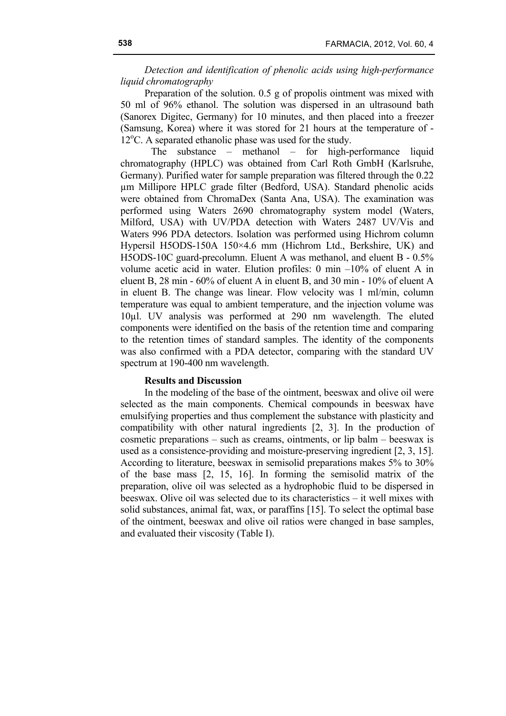*Detection and identification of phenolic acids using high-performance liquid chromatography*

Preparation of the solution. 0.5 g of propolis ointment was mixed with 50 ml of 96% ethanol. The solution was dispersed in an ultrasound bath (Sanorex Digitec, Germany) for 10 minutes, and then placed into a freezer (Samsung, Korea) where it was stored for 21 hours at the temperature of - 12<sup>o</sup>C. A separated ethanolic phase was used for the study.

The substance – methanol – for high-performance liquid chromatography (HPLC) was obtained from Carl Roth GmbH (Karlsruhe, Germany). Purified water for sample preparation was filtered through the 0.22 µm Millipore HPLC grade filter (Bedford, USA). Standard phenolic acids were obtained from ChromaDex (Santa Ana, USA). The examination was performed using Waters 2690 chromatography system model (Waters, Milford, USA) with UV/PDA detection with Waters 2487 UV/Vis and Waters 996 PDA detectors. Isolation was performed using Hichrom column Hypersil H5ODS-150A 150×4.6 mm (Hichrom Ltd., Berkshire, UK) and H5ODS-10C guard-precolumn. Eluent A was methanol, and eluent B - 0.5% volume acetic acid in water. Elution profiles: 0 min –10% of eluent A in eluent B, 28 min - 60% of eluent A in eluent B, and 30 min - 10% of eluent A in eluent B. The change was linear. Flow velocity was 1 ml/min, column temperature was equal to ambient temperature, and the injection volume was 10µl. UV analysis was performed at 290 nm wavelength. The eluted components were identified on the basis of the retention time and comparing to the retention times of standard samples. The identity of the components was also confirmed with a PDA detector, comparing with the standard UV spectrum at 190-400 nm wavelength.

## **Results and Discussion**

In the modeling of the base of the ointment, beeswax and olive oil were selected as the main components. Chemical compounds in beeswax have emulsifying properties and thus complement the substance with plasticity and compatibility with other natural ingredients [2, 3]. In the production of cosmetic preparations – such as creams, ointments, or lip balm – beeswax is used as a consistence-providing and moisture-preserving ingredient [2, 3, 15]. According to literature, beeswax in semisolid preparations makes 5% to 30% of the base mass [2, 15, 16]. In forming the semisolid matrix of the preparation, olive oil was selected as a hydrophobic fluid to be dispersed in beeswax. Olive oil was selected due to its characteristics – it well mixes with solid substances, animal fat, wax, or paraffins [15]. To select the optimal base of the ointment, beeswax and olive oil ratios were changed in base samples, and evaluated their viscosity (Table I).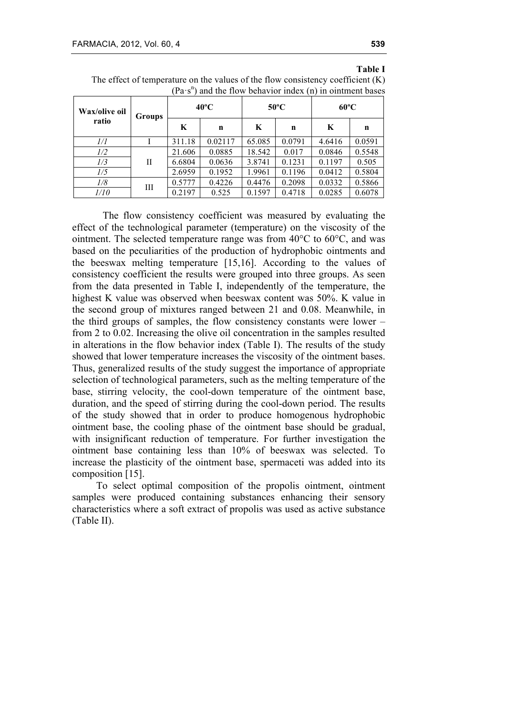## **Table I**

| The effect of temperature on the values of the flow consistency coefficient $(K)$ |                                                                    |  |
|-----------------------------------------------------------------------------------|--------------------------------------------------------------------|--|
|                                                                                   | $(Pa \cdot s^n)$ and the flow behavior index (n) in ointment bases |  |

| Wax/olive oil<br><b>Groups</b> |   | $40^{\circ}$ C |         | $50^{\circ}$ C |        | $60^{\circ}$ C |        |
|--------------------------------|---|----------------|---------|----------------|--------|----------------|--------|
| ratio                          |   | K              | n       | K              | n      | K              | n      |
| 1/1                            |   | 311.18         | 0.02117 | 65.085         | 0.0791 | 4.6416         | 0.0591 |
| 1/2                            | Н | 21.606         | 0.0885  | 18.542         | 0.017  | 0.0846         | 0.5548 |
| 1/3                            |   | 6.6804         | 0.0636  | 3.8741         | 0.1231 | 0.1197         | 0.505  |
| 1/5                            |   | 2.6959         | 0.1952  | 1.9961         | 0.1196 | 0.0412         | 0.5804 |
| 1/8                            | Ш | 0.5777         | 0.4226  | 0.4476         | 0.2098 | 0.0332         | 0.5866 |
| 1/10                           |   | 0.2197         | 0.525   | 0.1597         | 0.4718 | 0.0285         | 0.6078 |

The flow consistency coefficient was measured by evaluating the effect of the technological parameter (temperature) on the viscosity of the ointment. The selected temperature range was from 40°C to 60°C, and was based on the peculiarities of the production of hydrophobic ointments and the beeswax melting temperature [15,16]. According to the values of consistency coefficient the results were grouped into three groups. As seen from the data presented in Table I, independently of the temperature, the highest K value was observed when beeswax content was 50%. K value in the second group of mixtures ranged between 21 and 0.08. Meanwhile, in the third groups of samples, the flow consistency constants were lower – from 2 to 0.02. Increasing the olive oil concentration in the samples resulted in alterations in the flow behavior index (Table I). The results of the study showed that lower temperature increases the viscosity of the ointment bases. Thus, generalized results of the study suggest the importance of appropriate selection of technological parameters, such as the melting temperature of the base, stirring velocity, the cool-down temperature of the ointment base, duration, and the speed of stirring during the cool-down period. The results of the study showed that in order to produce homogenous hydrophobic ointment base, the cooling phase of the ointment base should be gradual, with insignificant reduction of temperature. For further investigation the ointment base containing less than 10% of beeswax was selected. To increase the plasticity of the ointment base, spermaceti was added into its composition [15].

To select optimal composition of the propolis ointment, ointment samples were produced containing substances enhancing their sensory characteristics where a soft extract of propolis was used as active substance (Table II).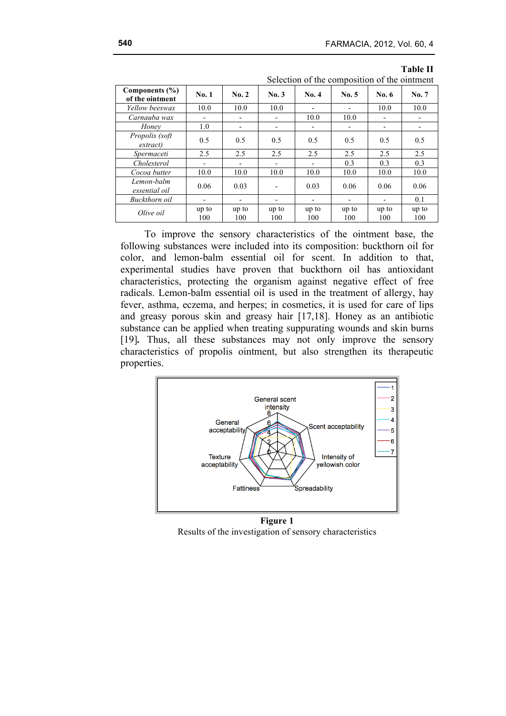|                                       | Delettion of the composition of the omitment |              |                          |              |              |                          |                          |
|---------------------------------------|----------------------------------------------|--------------|--------------------------|--------------|--------------|--------------------------|--------------------------|
| Components $(\% )$<br>of the ointment | No.1                                         | No. 2        | No.3                     | No. 4        | No. 5        | No. $6$                  | No. 7                    |
| Yellow beeswax                        | 10.0                                         | 10.0         | 10.0                     |              |              | 10.0                     | 10.0                     |
| Carnauba wax                          | $\overline{\phantom{a}}$                     |              | $\overline{\phantom{a}}$ | 10.0         | 10.0         | $\overline{\phantom{a}}$ |                          |
| Honey                                 | 1.0                                          |              | -                        |              |              |                          | $\overline{\phantom{a}}$ |
| Propolis (soft<br>extract             | 0.5                                          | 0.5          | 0.5                      | 0.5          | 0.5          | 0.5                      | 0.5                      |
| Spermaceti                            | 2.5                                          | 2.5          | 2.5                      | 2.5          | 2.5          | 2.5                      | 2.5                      |
| Cholesterol                           | $\overline{\phantom{a}}$                     |              | $\overline{\phantom{0}}$ |              | 0.3          | 0.3                      | 0.3                      |
| Cocoa butter                          | 10.0                                         | 10.0         | 10.0                     | 10.0         | 10.0         | 10.0                     | 10.0                     |
| Lemon-balm<br>essential oil           | 0.06                                         | 0.03         |                          | 0.03         | 0.06         | 0.06                     | 0.06                     |
| Buckthorn oil                         | $\overline{\phantom{a}}$                     |              | $\overline{\phantom{0}}$ |              |              |                          | 0.1                      |
| Olive oil                             | up to<br>100                                 | up to<br>100 | up to<br>100             | up to<br>100 | up to<br>100 | up to<br>100             | up to<br>100             |

**Table II** Selection of the composition of the ointment

To improve the sensory characteristics of the ointment base, the following substances were included into its composition: buckthorn oil for color, and lemon-balm essential oil for scent. In addition to that, experimental studies have proven that buckthorn oil has antioxidant characteristics, protecting the organism against negative effect of free radicals. Lemon-balm essential oil is used in the treatment of allergy, hay fever, asthma, eczema, and herpes; in cosmetics, it is used for care of lips and greasy porous skin and greasy hair [17,18]. Honey as an antibiotic substance can be applied when treating suppurating wounds and skin burns [19]*.* Thus, all these substances may not only improve the sensory characteristics of propolis ointment, but also strengthen its therapeutic properties.



**Figure 1** Results of the investigation of sensory characteristics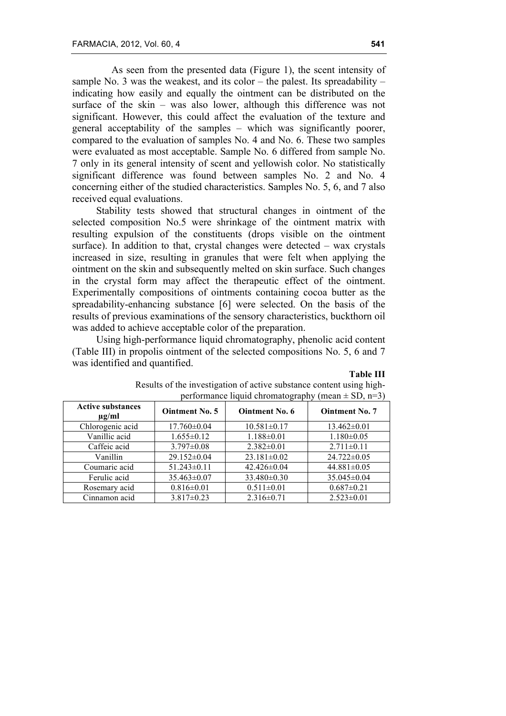As seen from the presented data (Figure 1), the scent intensity of sample No. 3 was the weakest, and its color – the palest. Its spreadability – indicating how easily and equally the ointment can be distributed on the surface of the skin – was also lower, although this difference was not significant. However, this could affect the evaluation of the texture and general acceptability of the samples – which was significantly poorer, compared to the evaluation of samples No. 4 and No. 6. These two samples were evaluated as most acceptable. Sample No. 6 differed from sample No. 7 only in its general intensity of scent and yellowish color. No statistically significant difference was found between samples No. 2 and No. 4 concerning either of the studied characteristics. Samples No. 5, 6, and 7 also received equal evaluations.

Stability tests showed that structural changes in ointment of the selected composition No.5 were shrinkage of the ointment matrix with resulting expulsion of the constituents (drops visible on the ointment surface). In addition to that, crystal changes were detected – wax crystals increased in size, resulting in granules that were felt when applying the ointment on the skin and subsequently melted on skin surface. Such changes in the crystal form may affect the therapeutic effect of the ointment. Experimentally compositions of ointments containing cocoa butter as the spreadability-enhancing substance [6] were selected. On the basis of the results of previous examinations of the sensory characteristics, buckthorn oil was added to achieve acceptable color of the preparation.

Using high-performance liquid chromatography, phenolic acid content (Table III) in propolis ointment of the selected compositions No. 5, 6 and 7 was identified and quantified.

#### **Table III**

|                                        | $P_{\text{S}}$ $P_{\text{S}}$ $P_{\text{S}}$ $P_{\text{S}}$ $P_{\text{S}}$ $P_{\text{S}}$ $P_{\text{S}}$ $P_{\text{S}}$ $P_{\text{S}}$ $P_{\text{S}}$ $P_{\text{S}}$ $P_{\text{S}}$ $P_{\text{S}}$ $P_{\text{S}}$ $P_{\text{S}}$ $P_{\text{S}}$ $P_{\text{S}}$ $P_{\text{S}}$ $P_{\text{S}}$ $P_{\text{S}}$ $P_{\text{S}}$ $P_{\text{S}}$ |                       |                       |  |  |  |
|----------------------------------------|-------------------------------------------------------------------------------------------------------------------------------------------------------------------------------------------------------------------------------------------------------------------------------------------------------------------------------------------|-----------------------|-----------------------|--|--|--|
| <b>Active substances</b><br>$\mu$ g/ml | <b>Ointment No. 5</b>                                                                                                                                                                                                                                                                                                                     | <b>Ointment No. 6</b> | <b>Ointment No. 7</b> |  |  |  |
| Chlorogenic acid                       | $17.760 \pm 0.04$                                                                                                                                                                                                                                                                                                                         | $10.581 \pm 0.17$     | $13.462 \pm 0.01$     |  |  |  |
| Vanillic acid                          | $1.655 \pm 0.12$                                                                                                                                                                                                                                                                                                                          | $1.188 \pm 0.01$      | $1.180 \pm 0.05$      |  |  |  |
| Caffeic acid                           | $3.797 \pm 0.08$                                                                                                                                                                                                                                                                                                                          | $2.382 \pm 0.01$      | $2.711 \pm 0.11$      |  |  |  |
| Vanillin                               | 29.152±0.04                                                                                                                                                                                                                                                                                                                               | $23.181 \pm 0.02$     | $24.722 \pm 0.05$     |  |  |  |
| Coumaric acid                          | $51.243 \pm 0.11$                                                                                                                                                                                                                                                                                                                         | $42.426 \pm 0.04$     | $44.881 \pm 0.05$     |  |  |  |
| Ferulic acid                           | 35.463±0.07                                                                                                                                                                                                                                                                                                                               | $33.480 \pm 0.30$     | 35.045±0.04           |  |  |  |
| Rosemary acid                          | $0.816 \pm 0.01$                                                                                                                                                                                                                                                                                                                          | $0.511 \pm 0.01$      | $0.687 \pm 0.21$      |  |  |  |
| Cinnamon acid                          | $3.817 \pm 0.23$                                                                                                                                                                                                                                                                                                                          | $2.316\pm0.71$        | $2.523 \pm 0.01$      |  |  |  |

## Results of the investigation of active substance content using highperformance liquid chromatography (mean  $\pm$  SD, n=3)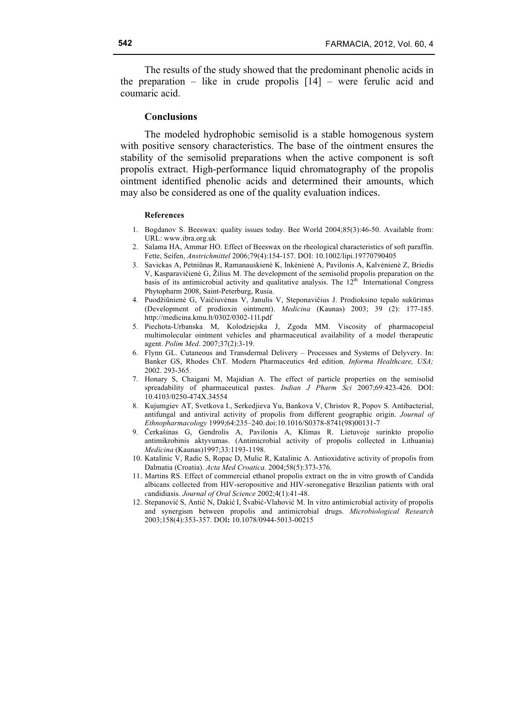The results of the study showed that the predominant phenolic acids in the preparation – like in crude propolis [14] – were ferulic acid and coumaric acid.

#### **Conclusions**

The modeled hydrophobic semisolid is a stable homogenous system with positive sensory characteristics. The base of the ointment ensures the stability of the semisolid preparations when the active component is soft propolis extract. High-performance liquid chromatography of the propolis ointment identified phenolic acids and determined their amounts, which may also be considered as one of the quality evaluation indices.

#### **References**

- 1. Bogdanov S. Beeswax: quality issues today. Bee World 2004;85(3):46-50. Available from: URL: www.ibra.org.uk
- 2. Salama HA, Ammar HO. Effect of Beeswax on the rheological characteristics of soft paraffin. Fette, Seifen, *Anstrichmittel* 2006;79(4):154-157. DOI: 10.1002/lipi.19770790405
- 3. Savickas A, Petniūnas R, Ramanauskienė K, Inkėnienė A, Pavilonis A, Kalvėnienė Z, Briedis V, Kasparavičienė G, Žilius M. The development of the semisolid propolis preparation on the basis of its antimicrobial activity and qualitative analysis. The  $12<sup>th</sup>$  International Congress Phytopharm 2008, Saint-Peterburg, Rusia.
- 4. Puodžiūnienė G, Vaičiuvėnas V, Janulis V, Steponavičius J. Prodioksino tepalo sukūrimas (Development of prodioxin ointment). *Medicina* (Kaunas) 2003; 39 (2): 177-185. http://medicina.kmu.lt/0302/0302-11l.pdf
- 5. Piechota-Urbanska M, Kolodziejska J, Zgoda MM. Viscosity of pharmacopeial multimolecular ointment vehicles and pharmaceutical availability of a model therapeutic agent. *Polim Med*. 2007;37(2):3-19.
- 6. Flynn GL. Cutaneous and Transdermal Delivery Processes and Systems of Delyvery. In: Banker GS, Rhodes ChT. Modern Pharmaceutics 4rd edition. *Informa Healthcare, USA;* 2002. 293-365.
- 7. Honary S, Chaigani M, Majidian A. The effect of particle properties on the semisolid spreadability of pharmaceutical pastes. *Indian J Pharm Sci* 2007;69:423-426. DOI: 10.4103/0250-474X.34554
- 8. Kujumgiev AT, Svetkova I., Serkedjieva Yu, Bankova V, Christov R, Popov S. Antibacterial, antifungal and antiviral activity of propolis from different geographic origin. *Journal of Ethnopharmacology* 1999;64:235–240.doi:10.1016/S0378-8741(98)00131-7
- 9. Čerkašinas G, Gendrolis A, Pavilonis A, Klimas R. Lietuvoje surinkto propolio antimikrobinis aktyvumas. (Antimicrobial activity of propolis collected in Lithuania) *Medicina* (Kaunas)1997;33:1193-1198.
- 10. Katalinic V, Radic S, Ropac D, Mulic R, Katalinic A. Antioxidative activity of propolis from Dalmatia (Croatia). *Acta Med Croatica.* 2004;58(5):373-376.
- 11. Martins RS. Effect of commercial ethanol propolis extract on the in vitro growth of Candida albicans collected from HIV-seropositive and HIV-seronegative Brazilian patients with oral *c*andidiasis. *Journal of Oral Science* 2002;4(1):41-48.
- 12. Stepanović S, Antić N, Dakić I, Švabić-Vlahović M. In vitro antimicrobial activity of propolis and synergism between propolis and antimicrobial drugs. *Microbiological Research* 2003;158(4):353-357. DOI**:** 10.1078/0944-5013-00215